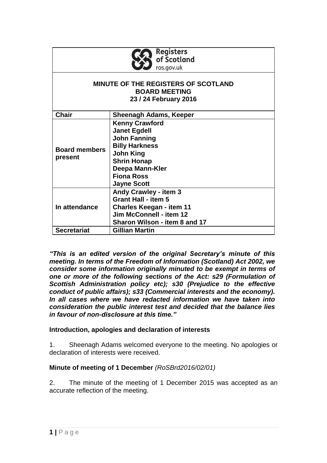|  | <b>Registers</b><br>of Scotland |
|--|---------------------------------|
|  | ros.gov.uk                      |

## **MINUTE OF THE REGISTERS OF SCOTLAND BOARD MEETING 23 / 24 February 2016**

| <b>Chair</b>                    | <b>Sheenagh Adams, Keeper</b>   |
|---------------------------------|---------------------------------|
| <b>Board members</b><br>present | <b>Kenny Crawford</b>           |
|                                 | <b>Janet Egdell</b>             |
|                                 | <b>John Fanning</b>             |
|                                 | <b>Billy Harkness</b>           |
|                                 | <b>John King</b>                |
|                                 | <b>Shrin Honap</b>              |
|                                 | Deepa Mann-Kler                 |
|                                 | <b>Fiona Ross</b>               |
|                                 | <b>Jayne Scott</b>              |
| In attendance                   | <b>Andy Crawley - item 3</b>    |
|                                 | <b>Grant Hall - item 5</b>      |
|                                 | <b>Charles Keegan - item 11</b> |
|                                 | Jim McConnell - item 12         |
|                                 | Sharon Wilson - item 8 and 17   |
| <b>Secretariat</b>              | Gillian Martin                  |

*"This is an edited version of the original Secretary's minute of this meeting. In terms of the Freedom of Information (Scotland) Act 2002, we consider some information originally minuted to be exempt in terms of one or more of the following sections of the Act: s29 (Formulation of Scottish Administration policy etc); s30 (Prejudice to the effective conduct of public affairs); s33 (Commercial interests and the economy). In all cases where we have redacted information we have taken into consideration the public interest test and decided that the balance lies in favour of non-disclosure at this time."*

# **Introduction, apologies and declaration of interests**

1. Sheenagh Adams welcomed everyone to the meeting. No apologies or declaration of interests were received.

# **Minute of meeting of 1 December** *(RoSBrd2016/02/01)*

2. The minute of the meeting of 1 December 2015 was accepted as an accurate reflection of the meeting.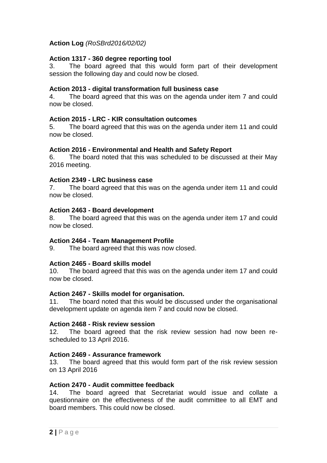# **Action Log** *(RoSBrd2016/02/02)*

## **Action 1317 - 360 degree reporting tool**

3. The board agreed that this would form part of their development session the following day and could now be closed.

## **Action 2013 - digital transformation full business case**

4. The board agreed that this was on the agenda under item 7 and could now be closed.

## **Action 2015 - LRC - KIR consultation outcomes**

5. The board agreed that this was on the agenda under item 11 and could now be closed.

## **Action 2016 - Environmental and Health and Safety Report**

6. The board noted that this was scheduled to be discussed at their May 2016 meeting.

## **Action 2349 - LRC business case**

7. The board agreed that this was on the agenda under item 11 and could now be closed.

### **Action 2463 - Board development**

8. The board agreed that this was on the agenda under item 17 and could now be closed.

## **Action 2464 - Team Management Profile**

9. The board agreed that this was now closed.

## **Action 2465 - Board skills model**

10. The board agreed that this was on the agenda under item 17 and could now be closed.

## **Action 2467 - Skills model for organisation.**

11. The board noted that this would be discussed under the organisational development update on agenda item 7 and could now be closed.

#### **Action 2468 - Risk review session**

12. The board agreed that the risk review session had now been rescheduled to 13 April 2016.

## **Action 2469 - Assurance framework**

13. The board agreed that this would form part of the risk review session on 13 April 2016

#### **Action 2470 - Audit committee feedback**

14. The board agreed that Secretariat would issue and collate a questionnaire on the effectiveness of the audit committee to all EMT and board members. This could now be closed.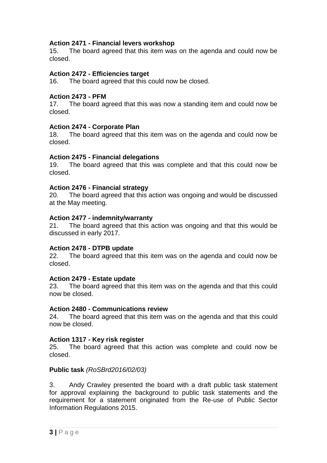# **Action 2471 - Financial levers workshop**

15. The board agreed that this item was on the agenda and could now be closed.

## **Action 2472 - Efficiencies target**

16. The board agreed that this could now be closed.

### **Action 2473 - PFM**

17. The board agreed that this was now a standing item and could now be closed.

## **Action 2474 - Corporate Plan**

18. The board agreed that this item was on the agenda and could now be closed.

### **Action 2475 - Financial delegations**

19. The board agreed that this was complete and that this could now be closed.

### **Action 2476 - Financial strategy**

20. The board agreed that this action was ongoing and would be discussed at the May meeting.

### **Action 2477 - indemnity/warranty**

21. The board agreed that this action was ongoing and that this would be discussed in early 2017.

## **Action 2478 - DTPB update**

22. The board agreed that this item was on the agenda and could now be closed.

#### **Action 2479 - Estate update**

23. The board agreed that this item was on the agenda and that this could now be closed.

### **Action 2480 - Communications review**

24. The board agreed that this item was on the agenda and that this could now be closed.

## **Action 1317 - Key risk register**

25. The board agreed that this action was complete and could now be closed.

## **Public task** *(RoSBrd2016/02/03)*

3. Andy Crawley presented the board with a draft public task statement for approval explaining the background to public task statements and the requirement for a statement originated from the Re-use of Public Sector Information Regulations 2015.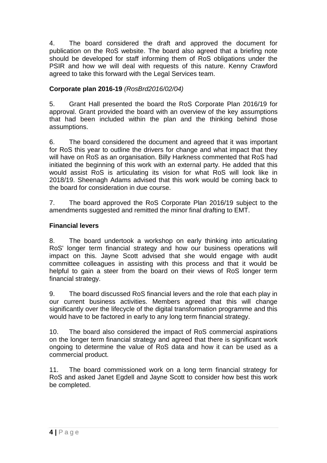4. The board considered the draft and approved the document for publication on the RoS website. The board also agreed that a briefing note should be developed for staff informing them of RoS obligations under the PSIR and how we will deal with requests of this nature. Kenny Crawford agreed to take this forward with the Legal Services team.

# **Corporate plan 2016-19** *(RosBrd2016/02/04)*

5. Grant Hall presented the board the RoS Corporate Plan 2016/19 for approval. Grant provided the board with an overview of the key assumptions that had been included within the plan and the thinking behind those assumptions.

6. The board considered the document and agreed that it was important for RoS this year to outline the drivers for change and what impact that they will have on RoS as an organisation. Billy Harkness commented that RoS had initiated the beginning of this work with an external party. He added that this would assist RoS is articulating its vision for what RoS will look like in 2018/19. Sheenagh Adams advised that this work would be coming back to the board for consideration in due course.

7. The board approved the RoS Corporate Plan 2016/19 subject to the amendments suggested and remitted the minor final drafting to EMT.

# **Financial levers**

8. The board undertook a workshop on early thinking into articulating RoS' longer term financial strategy and how our business operations will impact on this. Jayne Scott advised that she would engage with audit committee colleagues in assisting with this process and that it would be helpful to gain a steer from the board on their views of RoS longer term financial strategy.

9. The board discussed RoS financial levers and the role that each play in our current business activities. Members agreed that this will change significantly over the lifecycle of the digital transformation programme and this would have to be factored in early to any long term financial strategy.

10. The board also considered the impact of RoS commercial aspirations on the longer term financial strategy and agreed that there is significant work ongoing to determine the value of RoS data and how it can be used as a commercial product.

11. The board commissioned work on a long term financial strategy for RoS and asked Janet Egdell and Jayne Scott to consider how best this work be completed.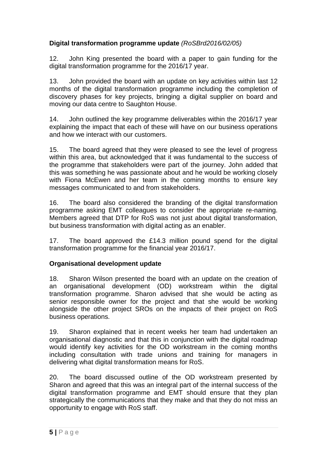# **Digital transformation programme update** *(RoSBrd2016/02/05)*

12. John King presented the board with a paper to gain funding for the digital transformation programme for the 2016/17 year.

13. John provided the board with an update on key activities within last 12 months of the digital transformation programme including the completion of discovery phases for key projects, bringing a digital supplier on board and moving our data centre to Saughton House.

14. John outlined the key programme deliverables within the 2016/17 year explaining the impact that each of these will have on our business operations and how we interact with our customers.

15. The board agreed that they were pleased to see the level of progress within this area, but acknowledged that it was fundamental to the success of the programme that stakeholders were part of the journey. John added that this was something he was passionate about and he would be working closely with Fiona McEwen and her team in the coming months to ensure key messages communicated to and from stakeholders.

16. The board also considered the branding of the digital transformation programme asking EMT colleagues to consider the appropriate re-naming. Members agreed that DTP for RoS was not just about digital transformation, but business transformation with digital acting as an enabler.

17. The board approved the £14.3 million pound spend for the digital transformation programme for the financial year 2016/17.

# **Organisational development update**

18. Sharon Wilson presented the board with an update on the creation of an organisational development (OD) workstream within the digital transformation programme. Sharon advised that she would be acting as senior responsible owner for the project and that she would be working alongside the other project SROs on the impacts of their project on RoS business operations.

19. Sharon explained that in recent weeks her team had undertaken an organisational diagnostic and that this in conjunction with the digital roadmap would identify key activities for the OD workstream in the coming months including consultation with trade unions and training for managers in delivering what digital transformation means for RoS.

20. The board discussed outline of the OD workstream presented by Sharon and agreed that this was an integral part of the internal success of the digital transformation programme and EMT should ensure that they plan strategically the communications that they make and that they do not miss an opportunity to engage with RoS staff.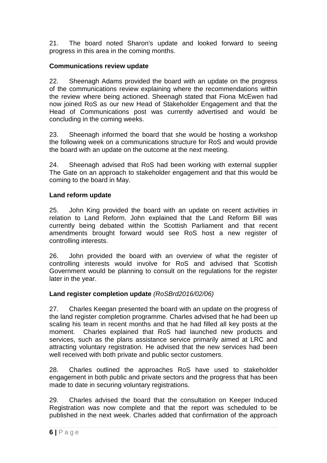21. The board noted Sharon's update and looked forward to seeing progress in this area in the coming months.

# **Communications review update**

22. Sheenagh Adams provided the board with an update on the progress of the communications review explaining where the recommendations within the review where being actioned. Sheenagh stated that Fiona McEwen had now joined RoS as our new Head of Stakeholder Engagement and that the Head of Communications post was currently advertised and would be concluding in the coming weeks.

23. Sheenagh informed the board that she would be hosting a workshop the following week on a communications structure for RoS and would provide the board with an update on the outcome at the next meeting.

24. Sheenagh advised that RoS had been working with external supplier The Gate on an approach to stakeholder engagement and that this would be coming to the board in May.

# **Land reform update**

25. John King provided the board with an update on recent activities in relation to Land Reform. John explained that the Land Reform Bill was currently being debated within the Scottish Parliament and that recent amendments brought forward would see RoS host a new register of controlling interests.

26. John provided the board with an overview of what the register of controlling interests would involve for RoS and advised that Scottish Government would be planning to consult on the regulations for the register later in the year.

# **Land register completion update** *(RoSBrd2016/02/06)*

27. Charles Keegan presented the board with an update on the progress of the land register completion programme. Charles advised that he had been up scaling his team in recent months and that he had filled all key posts at the moment. Charles explained that RoS had launched new products and services, such as the plans assistance service primarily aimed at LRC and attracting voluntary registration. He advised that the new services had been well received with both private and public sector customers.

28. Charles outlined the approaches RoS have used to stakeholder engagement in both public and private sectors and the progress that has been made to date in securing voluntary registrations.

29. Charles advised the board that the consultation on Keeper Induced Registration was now complete and that the report was scheduled to be published in the next week. Charles added that confirmation of the approach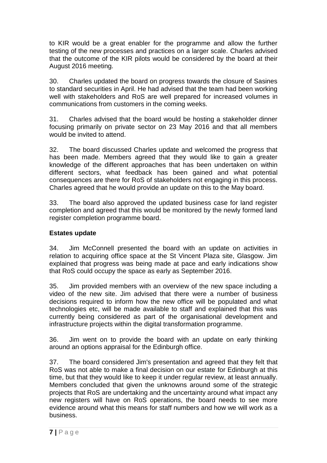to KIR would be a great enabler for the programme and allow the further testing of the new processes and practices on a larger scale. Charles advised that the outcome of the KIR pilots would be considered by the board at their August 2016 meeting.

30. Charles updated the board on progress towards the closure of Sasines to standard securities in April. He had advised that the team had been working well with stakeholders and RoS are well prepared for increased volumes in communications from customers in the coming weeks.

31. Charles advised that the board would be hosting a stakeholder dinner focusing primarily on private sector on 23 May 2016 and that all members would be invited to attend.

32. The board discussed Charles update and welcomed the progress that has been made. Members agreed that they would like to gain a greater knowledge of the different approaches that has been undertaken on within different sectors, what feedback has been gained and what potential consequences are there for RoS of stakeholders not engaging in this process. Charles agreed that he would provide an update on this to the May board.

33. The board also approved the updated business case for land register completion and agreed that this would be monitored by the newly formed land register completion programme board.

# **Estates update**

34. Jim McConnell presented the board with an update on activities in relation to acquiring office space at the St Vincent Plaza site, Glasgow. Jim explained that progress was being made at pace and early indications show that RoS could occupy the space as early as September 2016.

35. Jim provided members with an overview of the new space including a video of the new site. Jim advised that there were a number of business decisions required to inform how the new office will be populated and what technologies etc, will be made available to staff and explained that this was currently being considered as part of the organisational development and infrastructure projects within the digital transformation programme.

36. Jim went on to provide the board with an update on early thinking around an options appraisal for the Edinburgh office.

37. The board considered Jim's presentation and agreed that they felt that RoS was not able to make a final decision on our estate for Edinburgh at this time, but that they would like to keep it under regular review, at least annually. Members concluded that given the unknowns around some of the strategic projects that RoS are undertaking and the uncertainty around what impact any new registers will have on RoS operations, the board needs to see more evidence around what this means for staff numbers and how we will work as a business.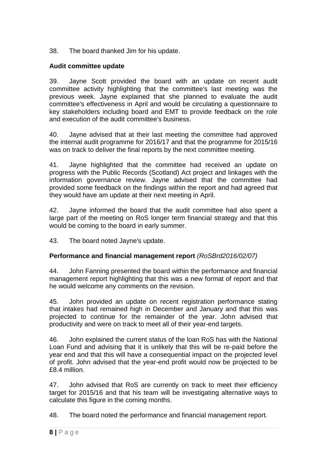38. The board thanked Jim for his update.

# **Audit committee update**

39. Jayne Scott provided the board with an update on recent audit committee activity highlighting that the committee's last meeting was the previous week. Jayne explained that she planned to evaluate the audit committee's effectiveness in April and would be circulating a questionnaire to key stakeholders including board and EMT to provide feedback on the role and execution of the audit committee's business.

40. Jayne advised that at their last meeting the committee had approved the internal audit programme for 2016/17 and that the programme for 2015/16 was on track to deliver the final reports by the next committee meeting.

41. Jayne highlighted that the committee had received an update on progress with the Public Records (Scotland) Act project and linkages with the information governance review. Jayne advised that the committee had provided some feedback on the findings within the report and had agreed that they would have am update at their next meeting in April.

42. Jayne informed the board that the audit committee had also spent a large part of the meeting on RoS longer term financial strategy and that this would be coming to the board in early summer.

43. The board noted Jayne's update.

# **Performance and financial management report** *(RoSBrd2016/02/07)*

44. John Fanning presented the board within the performance and financial management report highlighting that this was a new format of report and that he would welcome any comments on the revision.

45. John provided an update on recent registration performance stating that intakes had remained high in December and January and that this was projected to continue for the remainder of the year. John advised that productivity and were on track to meet all of their year-end targets.

46. John explained the current status of the loan RoS has with the National Loan Fund and advising that it is unlikely that this will be re-paid before the year end and that this will have a consequential impact on the projected level of profit. John advised that the year-end profit would now be projected to be £8.4 million.

47. John advised that RoS are currently on track to meet their efficiency target for 2015/16 and that his team will be investigating alternative ways to calculate this figure in the coming months.

48. The board noted the performance and financial management report.